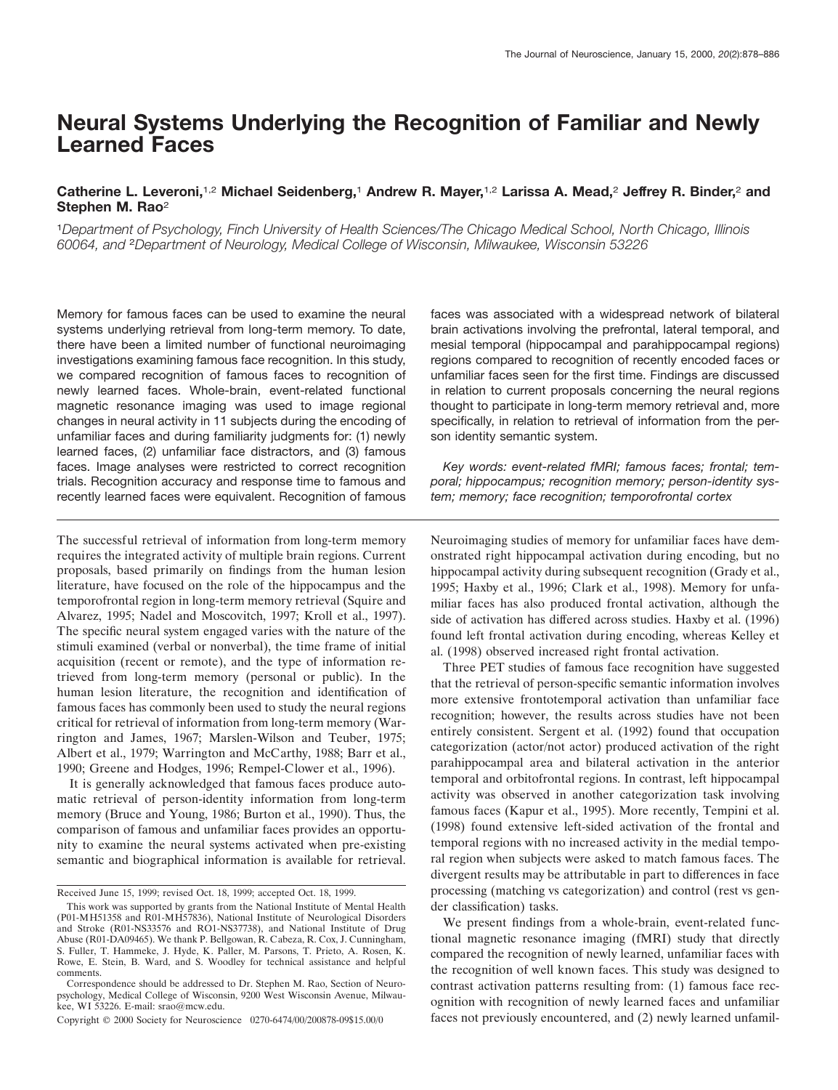# **Neural Systems Underlying the Recognition of Familiar and Newly Learned Faces**

# **Catherine L. Leveroni,**1,2 **Michael Seidenberg,**<sup>1</sup> **Andrew R. Mayer,**1,2 **Larissa A. Mead,**<sup>2</sup> **Jeffrey R. Binder,**<sup>2</sup> **and Stephen M. Rao**<sup>2</sup>

<sup>1</sup>*Department of Psychology, Finch University of Health Sciences/The Chicago Medical School, North Chicago, Illinois 60064, and* <sup>2</sup>*Department of Neurology, Medical College of Wisconsin, Milwaukee, Wisconsin 53226*

Memory for famous faces can be used to examine the neural systems underlying retrieval from long-term memory. To date, there have been a limited number of functional neuroimaging investigations examining famous face recognition. In this study, we compared recognition of famous faces to recognition of newly learned faces. Whole-brain, event-related functional magnetic resonance imaging was used to image regional changes in neural activity in 11 subjects during the encoding of unfamiliar faces and during familiarity judgments for: (1) newly learned faces, (2) unfamiliar face distractors, and (3) famous faces. Image analyses were restricted to correct recognition trials. Recognition accuracy and response time to famous and recently learned faces were equivalent. Recognition of famous

The successful retrieval of information from long-term memory requires the integrated activity of multiple brain regions. Current proposals, based primarily on findings from the human lesion literature, have focused on the role of the hippocampus and the temporofrontal region in long-term memory retrieval (Squire and Alvarez, 1995; Nadel and Moscovitch, 1997; Kroll et al., 1997). The specific neural system engaged varies with the nature of the stimuli examined (verbal or nonverbal), the time frame of initial acquisition (recent or remote), and the type of information retrieved from long-term memory (personal or public). In the human lesion literature, the recognition and identification of famous faces has commonly been used to study the neural regions critical for retrieval of information from long-term memory (Warrington and James, 1967; Marslen-Wilson and Teuber, 1975; Albert et al., 1979; Warrington and McCarthy, 1988; Barr et al., 1990; Greene and Hodges, 1996; Rempel-Clower et al., 1996).

It is generally acknowledged that famous faces produce automatic retrieval of person-identity information from long-term memory (Bruce and Young, 1986; Burton et al., 1990). Thus, the comparison of famous and unfamiliar faces provides an opportunity to examine the neural systems activated when pre-existing semantic and biographical information is available for retrieval. faces was associated with a widespread network of bilateral brain activations involving the prefrontal, lateral temporal, and mesial temporal (hippocampal and parahippocampal regions) regions compared to recognition of recently encoded faces or unfamiliar faces seen for the first time. Findings are discussed in relation to current proposals concerning the neural regions thought to participate in long-term memory retrieval and, more specifically, in relation to retrieval of information from the person identity semantic system.

*Key words: event-related fMRI; famous faces; frontal; temporal; hippocampus; recognition memory; person-identity system; memory; face recognition; temporofrontal cortex*

Neuroimaging studies of memory for unfamiliar faces have demonstrated right hippocampal activation during encoding, but no hippocampal activity during subsequent recognition (Grady et al., 1995; Haxby et al., 1996; Clark et al., 1998). Memory for unfamiliar faces has also produced frontal activation, although the side of activation has differed across studies. Haxby et al. (1996) found left frontal activation during encoding, whereas Kelley et al. (1998) observed increased right frontal activation.

Three PET studies of famous face recognition have suggested that the retrieval of person-specific semantic information involves more extensive frontotemporal activation than unfamiliar face recognition; however, the results across studies have not been entirely consistent. Sergent et al. (1992) found that occupation categorization (actor/not actor) produced activation of the right parahippocampal area and bilateral activation in the anterior temporal and orbitofrontal regions. In contrast, left hippocampal activity was observed in another categorization task involving famous faces (Kapur et al., 1995). More recently, Tempini et al. (1998) found extensive left-sided activation of the frontal and temporal regions with no increased activity in the medial temporal region when subjects were asked to match famous faces. The divergent results may be attributable in part to differences in face processing (matching vs categorization) and control (rest vs gender classification) tasks.

We present findings from a whole-brain, event-related functional magnetic resonance imaging (fMRI) study that directly compared the recognition of newly learned, unfamiliar faces with the recognition of well known faces. This study was designed to contrast activation patterns resulting from: (1) famous face recognition with recognition of newly learned faces and unfamiliar faces not previously encountered, and (2) newly learned unfamil-

Received June 15, 1999; revised Oct. 18, 1999; accepted Oct. 18, 1999.

This work was supported by grants from the National Institute of Mental Health (P01-MH51358 and R01-MH57836), National Institute of Neurological Disorders and Stroke (R01-NS33576 and RO1-NS37738), and National Institute of Drug Abuse (R01-DA09465). We thank P. Bellgowan, R. Cabeza, R. Cox, J. Cunningham, S. Fuller, T. Hammeke, J. Hyde, K. Paller, M. Parsons, T. Prieto, A. Rosen, K. Rowe, E. Stein, B. Ward, and S. Woodley for technical assistance and helpful comments.

Correspondence should be addressed to Dr. Stephen M. Rao, Section of Neuropsychology, Medical College of Wisconsin, 9200 West Wisconsin Avenue, Milwaukee, WI 53226. E-mail: srao@mcw.edu.

Copyright © 2000 Society for Neuroscience 0270-6474/00/200878-09\$15.00/0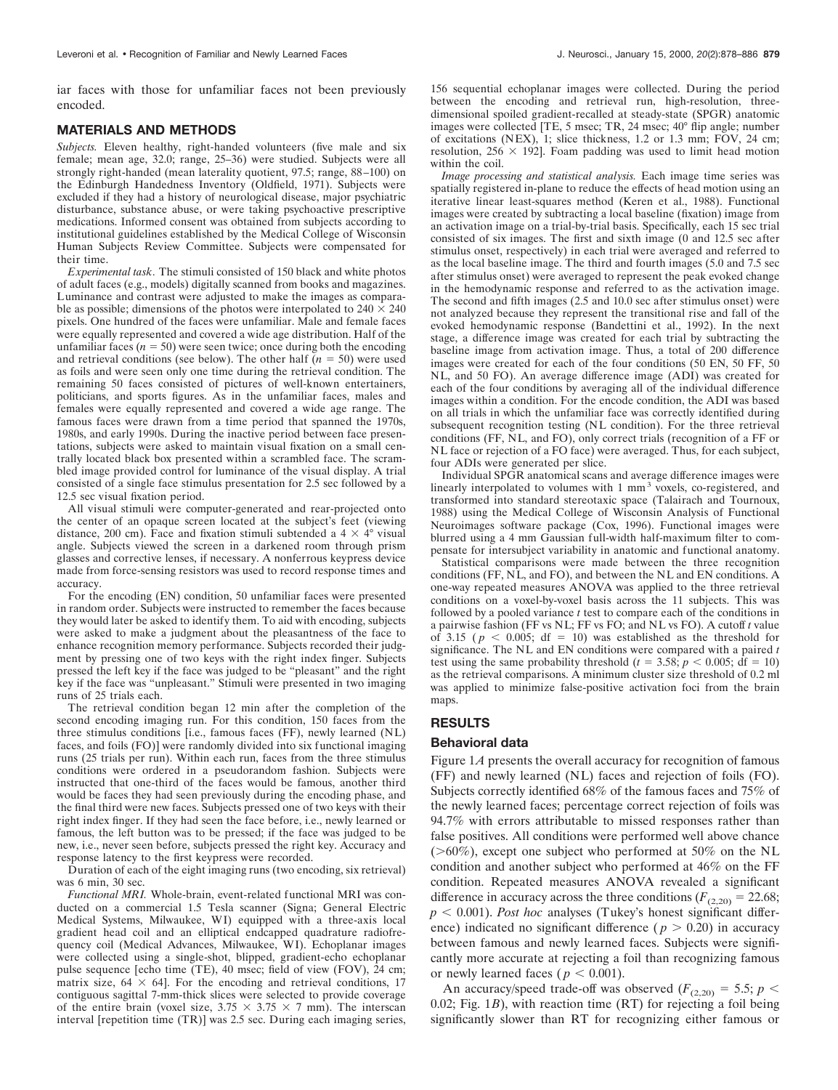iar faces with those for unfamiliar faces not been previously encoded.

#### **MATERIALS AND METHODS**

*Subjects.* Eleven healthy, right-handed volunteers (five male and six female; mean age, 32.0; range, 25–36) were studied. Subjects were all strongly right-handed (mean laterality quotient, 97.5; range, 88–100) on the Edinburgh Handedness Inventory (Oldfield, 1971). Subjects were excluded if they had a history of neurological disease, major psychiatric disturbance, substance abuse, or were taking psychoactive prescriptive medications. Informed consent was obtained from subjects according to institutional guidelines established by the Medical College of Wisconsin Human Subjects Review Committee. Subjects were compensated for their time.

*Experimental task.* The stimuli consisted of 150 black and white photos of adult faces (e.g., models) digitally scanned from books and magazines. Luminance and contrast were adjusted to make the images as comparable as possible; dimensions of the photos were interpolated to  $240 \times 240$ pixels. One hundred of the faces were unfamiliar. Male and female faces were equally represented and covered a wide age distribution. Half of the unfamiliar faces  $(n = 50)$  were seen twice; once during both the encoding and retrieval conditions (see below). The other half  $(n = 50)$  were used as foils and were seen only one time during the retrieval condition. The remaining 50 faces consisted of pictures of well-known entertainers, politicians, and sports figures. As in the unfamiliar faces, males and females were equally represented and covered a wide age range. The famous faces were drawn from a time period that spanned the 1970s, 1980s, and early 1990s. During the inactive period between face presentations, subjects were asked to maintain visual fixation on a small centrally located black box presented within a scrambled face. The scrambled image provided control for luminance of the visual display. A trial consisted of a single face stimulus presentation for 2.5 sec followed by a 12.5 sec visual fixation period.

All visual stimuli were computer-generated and rear-projected onto the center of an opaque screen located at the subject's feet (viewing distance, 200 cm). Face and fixation stimuli subtended a  $4 \times 4^{\circ}$  visual angle. Subjects viewed the screen in a darkened room through prism glasses and corrective lenses, if necessary. A nonferrous keypress device made from force-sensing resistors was used to record response times and accuracy.

For the encoding (EN) condition, 50 unfamiliar faces were presented in random order. Subjects were instructed to remember the faces because they would later be asked to identify them. To aid with encoding, subjects were asked to make a judgment about the pleasantness of the face to enhance recognition memory performance. Subjects recorded their judgment by pressing one of two keys with the right index finger. Subjects pressed the left key if the face was judged to be "pleasant" and the right key if the face was "unpleasant." Stimuli were presented in two imaging runs of 25 trials each.

The retrieval condition began 12 min after the completion of the second encoding imaging run. For this condition, 150 faces from the three stimulus conditions [i.e., famous faces (FF), newly learned (NL) faces, and foils (FO)] were randomly divided into six functional imaging runs (25 trials per run). Within each run, faces from the three stimulus conditions were ordered in a pseudorandom fashion. Subjects were instructed that one-third of the faces would be famous, another third would be faces they had seen previously during the encoding phase, and the final third were new faces. Subjects pressed one of two keys with their right index finger. If they had seen the face before, i.e., newly learned or famous, the left button was to be pressed; if the face was judged to be new, i.e., never seen before, subjects pressed the right key. Accuracy and response latency to the first keypress were recorded.

Duration of each of the eight imaging runs (two encoding, six retrieval) was 6 min, 30 sec.

*Functional MRI.* Whole-brain, event-related functional MRI was conducted on a commercial 1.5 Tesla scanner (Signa; General Electric Medical Systems, Milwaukee, WI) equipped with a three-axis local gradient head coil and an elliptical endcapped quadrature radiofrequency coil (Medical Advances, Milwaukee, WI). Echoplanar images were collected using a single-shot, blipped, gradient-echo echoplanar pulse sequence [echo time (TE), 40 msec; field of view (FOV), 24 cm; matrix size,  $64 \times 64$ . For the encoding and retrieval conditions, 17 contiguous sagittal 7-mm-thick slices were selected to provide coverage of the entire brain (voxel size,  $3.75 \times 3.75 \times 7$  mm). The interscan interval [repetition time (TR)] was 2.5 sec. During each imaging series,

156 sequential echoplanar images were collected. During the period between the encoding and retrieval run, high-resolution, threedimensional spoiled gradient-recalled at steady-state (SPGR) anatomic images were collected [TE, 5 msec; TR, 24 msec; 40° flip angle; number of excitations (NEX), 1; slice thickness, 1.2 or 1.3 mm; FOV, 24 cm; resolution,  $256 \times 192$ ]. Foam padding was used to limit head motion within the coil.

*Image processing and statistical analysis.* Each image time series was spatially registered in-plane to reduce the effects of head motion using an iterative linear least-squares method (Keren et al., 1988). Functional images were created by subtracting a local baseline (fixation) image from an activation image on a trial-by-trial basis. Specifically, each 15 sec trial consisted of six images. The first and sixth image (0 and 12.5 sec after stimulus onset, respectively) in each trial were averaged and referred to as the local baseline image. The third and fourth images (5.0 and 7.5 sec after stimulus onset) were averaged to represent the peak evoked change in the hemodynamic response and referred to as the activation image. The second and fifth images (2.5 and 10.0 sec after stimulus onset) were not analyzed because they represent the transitional rise and fall of the evoked hemodynamic response (Bandettini et al., 1992). In the next stage, a difference image was created for each trial by subtracting the baseline image from activation image. Thus, a total of 200 difference images were created for each of the four conditions (50 EN, 50 FF, 50 NL, and 50 FO). An average difference image (ADI) was created for each of the four conditions by averaging all of the individual difference images within a condition. For the encode condition, the ADI was based on all trials in which the unfamiliar face was correctly identified during subsequent recognition testing (NL condition). For the three retrieval conditions (FF, NL, and FO), only correct trials (recognition of a FF or NL face or rejection of a FO face) were averaged. Thus, for each subject, four ADIs were generated per slice.

Individual SPGR anatomical scans and average difference images were linearly interpolated to volumes with 1 mm<sup>3</sup> voxels, co-registered, and transformed into standard stereotaxic space (Talairach and Tournoux, 1988) using the Medical College of Wisconsin Analysis of Functional Neuroimages software package (Cox, 1996). Functional images were blurred using a 4 mm Gaussian full-width half-maximum filter to compensate for intersubject variability in anatomic and functional anatomy.

Statistical comparisons were made between the three recognition conditions (FF, NL, and FO), and between the NL and EN conditions. A one-way repeated measures ANOVA was applied to the three retrieval conditions on a voxel-by-voxel basis across the 11 subjects. This was followed by a pooled variance *t* test to compare each of the conditions in a pairwise fashion (FF vs NL; FF vs FO; and NL vs FO). A cutoff *t* value of 3.15 ( $p \le 0.005$ ; df = 10) was established as the threshold for significance. The NL and EN conditions were compared with a paired *t* test using the same probability threshold ( $t = 3.58$ ;  $p < 0.005$ ; df = 10) as the retrieval comparisons. A minimum cluster size threshold of 0.2 ml was applied to minimize false-positive activation foci from the brain maps.

### **RESULTS**

#### **Behavioral data**

Figure 1*A* presents the overall accuracy for recognition of famous (FF) and newly learned (NL) faces and rejection of foils (FO). Subjects correctly identified 68% of the famous faces and 75% of the newly learned faces; percentage correct rejection of foils was 94.7% with errors attributable to missed responses rather than false positives. All conditions were performed well above chance  $(>60\%)$ , except one subject who performed at 50% on the NL condition and another subject who performed at 46% on the FF condition. Repeated measures ANOVA revealed a significant difference in accuracy across the three conditions  $(F_{(2,20)} = 22.68;$  $p < 0.001$ ). *Post hoc* analyses (Tukey's honest significant difference) indicated no significant difference ( $p > 0.20$ ) in accuracy between famous and newly learned faces. Subjects were significantly more accurate at rejecting a foil than recognizing famous or newly learned faces ( $p < 0.001$ ).

An accuracy/speed trade-off was observed ( $F_{(2,20)} = 5.5$ ;  $p <$ 0.02; Fig. 1*B*), with reaction time (RT) for rejecting a foil being significantly slower than RT for recognizing either famous or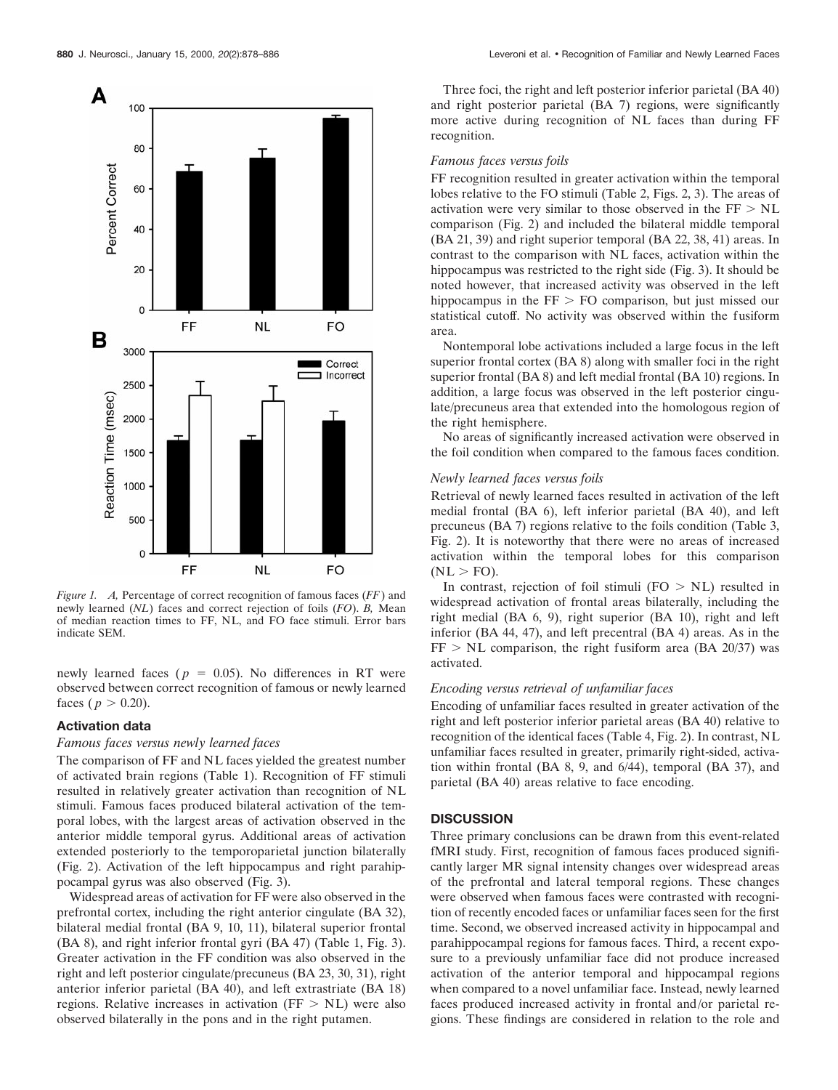

*Figure 1. A,* Percentage of correct recognition of famous faces (*FF*) and newly learned (*NL*) faces and correct rejection of foils (*FO*). *B,* Mean of median reaction times to FF, NL, and FO face stimuli. Error bars indicate SEM.

newly learned faces ( $p = 0.05$ ). No differences in RT were observed between correct recognition of famous or newly learned faces ( $p > 0.20$ ).

### **Activation data**

## *Famous faces versus newly learned faces*

The comparison of FF and NL faces yielded the greatest number of activated brain regions (Table 1). Recognition of FF stimuli resulted in relatively greater activation than recognition of NL stimuli. Famous faces produced bilateral activation of the temporal lobes, with the largest areas of activation observed in the anterior middle temporal gyrus. Additional areas of activation extended posteriorly to the temporoparietal junction bilaterally (Fig. 2). Activation of the left hippocampus and right parahippocampal gyrus was also observed (Fig. 3).

Widespread areas of activation for FF were also observed in the prefrontal cortex, including the right anterior cingulate (BA 32), bilateral medial frontal (BA 9, 10, 11), bilateral superior frontal (BA 8), and right inferior frontal gyri (BA 47) (Table 1, Fig. 3). Greater activation in the FF condition was also observed in the right and left posterior cingulate/precuneus (BA 23, 30, 31), right anterior inferior parietal (BA 40), and left extrastriate (BA 18) regions. Relative increases in activation ( $FF > NL$ ) were also observed bilaterally in the pons and in the right putamen.

Three foci, the right and left posterior inferior parietal (BA 40) and right posterior parietal (BA 7) regions, were significantly more active during recognition of NL faces than during FF recognition.

#### *Famous faces versus foils*

FF recognition resulted in greater activation within the temporal lobes relative to the FO stimuli (Table 2, Figs. 2, 3). The areas of activation were very similar to those observed in the  $FF > NL$ comparison (Fig. 2) and included the bilateral middle temporal (BA 21, 39) and right superior temporal (BA 22, 38, 41) areas. In contrast to the comparison with NL faces, activation within the hippocampus was restricted to the right side (Fig. 3). It should be noted however, that increased activity was observed in the left hippocampus in the  $FF > FO$  comparison, but just missed our statistical cutoff. No activity was observed within the fusiform area.

Nontemporal lobe activations included a large focus in the left superior frontal cortex (BA 8) along with smaller foci in the right superior frontal (BA 8) and left medial frontal (BA 10) regions. In addition, a large focus was observed in the left posterior cingulate/precuneus area that extended into the homologous region of the right hemisphere.

No areas of significantly increased activation were observed in the foil condition when compared to the famous faces condition.

#### *Newly learned faces versus foils*

Retrieval of newly learned faces resulted in activation of the left medial frontal (BA 6), left inferior parietal (BA 40), and left precuneus (BA 7) regions relative to the foils condition (Table 3, Fig. 2). It is noteworthy that there were no areas of increased activation within the temporal lobes for this comparison  $(NL > FO)$ .

In contrast, rejection of foil stimuli  $(FO > NL)$  resulted in widespread activation of frontal areas bilaterally, including the right medial (BA 6, 9), right superior (BA 10), right and left inferior (BA 44, 47), and left precentral (BA 4) areas. As in the  $FF > NL$  comparison, the right fusiform area (BA 20/37) was activated.

#### *Encoding versus retrieval of unfamiliar faces*

Encoding of unfamiliar faces resulted in greater activation of the right and left posterior inferior parietal areas (BA 40) relative to recognition of the identical faces (Table 4, Fig. 2). In contrast, NL unfamiliar faces resulted in greater, primarily right-sided, activation within frontal (BA 8, 9, and 6/44), temporal (BA 37), and parietal (BA 40) areas relative to face encoding.

#### **DISCUSSION**

Three primary conclusions can be drawn from this event-related fMRI study. First, recognition of famous faces produced significantly larger MR signal intensity changes over widespread areas of the prefrontal and lateral temporal regions. These changes were observed when famous faces were contrasted with recognition of recently encoded faces or unfamiliar faces seen for the first time. Second, we observed increased activity in hippocampal and parahippocampal regions for famous faces. Third, a recent exposure to a previously unfamiliar face did not produce increased activation of the anterior temporal and hippocampal regions when compared to a novel unfamiliar face. Instead, newly learned faces produced increased activity in frontal and/or parietal regions. These findings are considered in relation to the role and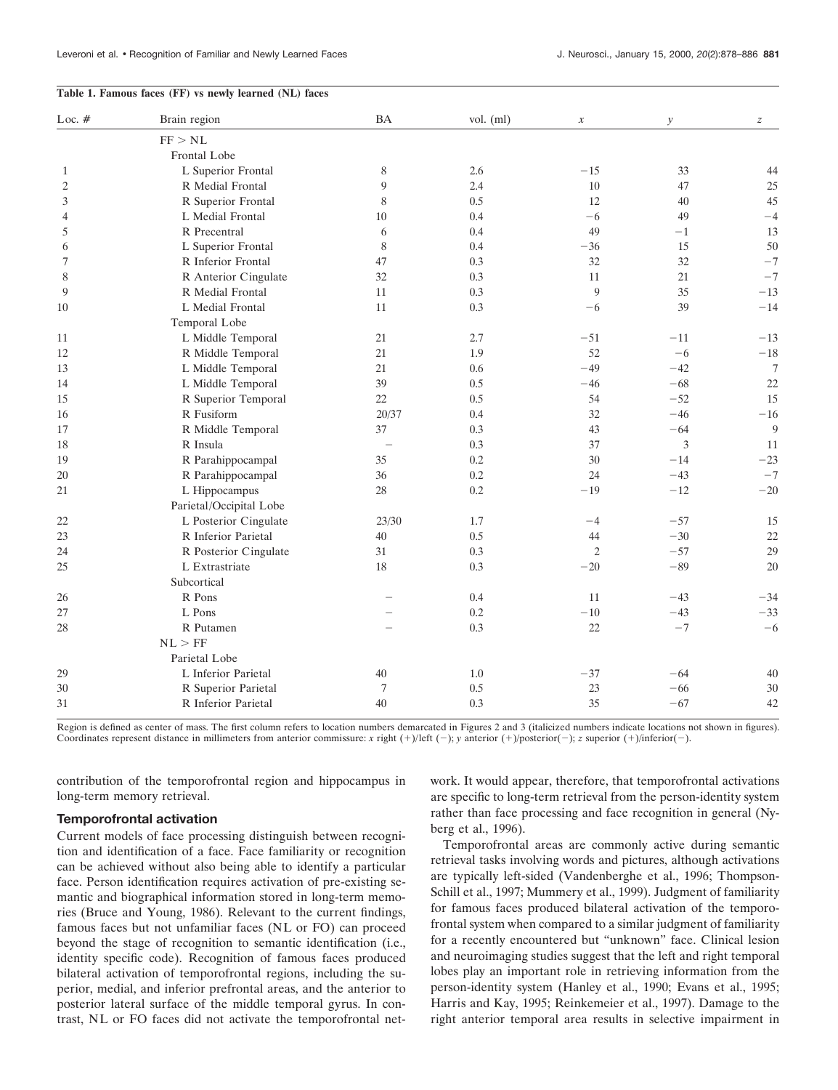#### **Table 1. Famous faces (FF) vs newly learned (NL) faces**

| Loc. $#$       | Brain region            | <b>BA</b>                | vol. (ml) | $\boldsymbol{x}$ | $\mathcal{Y}$ | $\boldsymbol{z}$ |
|----------------|-------------------------|--------------------------|-----------|------------------|---------------|------------------|
|                | FF > NL                 |                          |           |                  |               |                  |
|                | Frontal Lobe            |                          |           |                  |               |                  |
| 1              | L Superior Frontal      | 8                        | 2.6       | $-15$            | 33            | 44               |
| $\overline{2}$ | R Medial Frontal        | 9                        | 2.4       | 10               | 47            | 25               |
| 3              | R Superior Frontal      | 8                        | 0.5       | 12               | 40            | 45               |
| 4              | L Medial Frontal        | 10                       | 0.4       | $-6$             | 49            | $-4$             |
| 5              | R Precentral            | 6                        | 0.4       | 49               | $-1$          | 13               |
| 6              | L Superior Frontal      | 8                        | 0.4       | $-36$            | 15            | 50               |
| 7              | R Inferior Frontal      | 47                       | 0.3       | 32               | 32            | $-7$             |
| 8              | R Anterior Cingulate    | 32                       | 0.3       | 11               | 21            | $-7$             |
| 9              | R Medial Frontal        | 11                       | 0.3       | 9                | 35            | $-13$            |
| 10             | L Medial Frontal        | 11                       | 0.3       | $-6$             | 39            | $-14$            |
|                | Temporal Lobe           |                          |           |                  |               |                  |
| 11             | L Middle Temporal       | 21                       | 2.7       | $-51$            | $-11$         | $-13$            |
| 12             | R Middle Temporal       | 21                       | 1.9       | 52               | $-6$          | $-18$            |
| 13             | L Middle Temporal       | 21                       | 0.6       | $-49$            | $-42$         | $\overline{7}$   |
| 14             | L Middle Temporal       | 39                       | 0.5       | $-46$            | $-68$         | 22               |
| 15             | R Superior Temporal     | 22                       | 0.5       | 54               | $-52$         | 15               |
| 16             | R Fusiform              | 20/37                    | 0.4       | 32               | $-46$         | $-16$            |
| 17             | R Middle Temporal       | 37                       | 0.3       | 43               | $-64$         | 9                |
| 18             | R Insula                | $\overline{\phantom{a}}$ | 0.3       | 37               | 3             | 11               |
| 19             | R Parahippocampal       | 35                       | 0.2       | 30               | $-14$         | $-23$            |
| 20             | R Parahippocampal       | 36                       | 0.2       | 24               | $-43$         | $-7$             |
| 21             | L Hippocampus           | 28                       | 0.2       | $-19$            | $-12$         | $-20$            |
|                | Parietal/Occipital Lobe |                          |           |                  |               |                  |
| 22             | L Posterior Cingulate   | 23/30                    | 1.7       | $-4$             | $-57$         | 15               |
| 23             | R Inferior Parietal     | 40                       | 0.5       | 44               | $-30$         | 22               |
| 24             | R Posterior Cingulate   | 31                       | 0.3       | $\overline{c}$   | $-57$         | 29               |
| 25             | L Extrastriate          | 18                       | 0.3       | $-20$            | $-89$         | 20               |
|                | Subcortical             |                          |           |                  |               |                  |
| 26             | R Pons                  |                          | 0.4       | 11               | $-43$         | $-34$            |
| 27             | L Pons                  |                          | 0.2       | $-10$            | $-43$         | $-33$            |
| 28             | R Putamen               |                          | 0.3       | 22               | $-7$          | $-6$             |
|                | NL > FF                 |                          |           |                  |               |                  |
|                | Parietal Lobe           |                          |           |                  |               |                  |
| 29             | L Inferior Parietal     | 40                       | 1.0       | $-37$            | $-64$         | 40               |
| 30             | R Superior Parietal     | $\overline{7}$           | 0.5       | 23               | $-66$         | 30               |
| 31             | R Inferior Parietal     | 40                       | 0.3       | 35               | $-67$         | 42               |

Region is defined as center of mass. The first column refers to location numbers demarcated in Figures 2 and 3 (italicized numbers indicate locations not shown in figures). Coordinates represent distance in millimeters from anterior commissure: *x* right (+)/left (-); *y* anterior (+)/posterior(-); *z* superior (+)/inferior(-).

contribution of the temporofrontal region and hippocampus in long-term memory retrieval.

## **Temporofrontal activation**

Current models of face processing distinguish between recognition and identification of a face. Face familiarity or recognition can be achieved without also being able to identify a particular face. Person identification requires activation of pre-existing semantic and biographical information stored in long-term memories (Bruce and Young, 1986). Relevant to the current findings, famous faces but not unfamiliar faces (NL or FO) can proceed beyond the stage of recognition to semantic identification (i.e., identity specific code). Recognition of famous faces produced bilateral activation of temporofrontal regions, including the superior, medial, and inferior prefrontal areas, and the anterior to posterior lateral surface of the middle temporal gyrus. In contrast, NL or FO faces did not activate the temporofrontal network. It would appear, therefore, that temporofrontal activations are specific to long-term retrieval from the person-identity system rather than face processing and face recognition in general (Nyberg et al., 1996).

Temporofrontal areas are commonly active during semantic retrieval tasks involving words and pictures, although activations are typically left-sided (Vandenberghe et al., 1996; Thompson-Schill et al., 1997; Mummery et al., 1999). Judgment of familiarity for famous faces produced bilateral activation of the temporofrontal system when compared to a similar judgment of familiarity for a recently encountered but "unknown" face. Clinical lesion and neuroimaging studies suggest that the left and right temporal lobes play an important role in retrieving information from the person-identity system (Hanley et al., 1990; Evans et al., 1995; Harris and Kay, 1995; Reinkemeier et al., 1997). Damage to the right anterior temporal area results in selective impairment in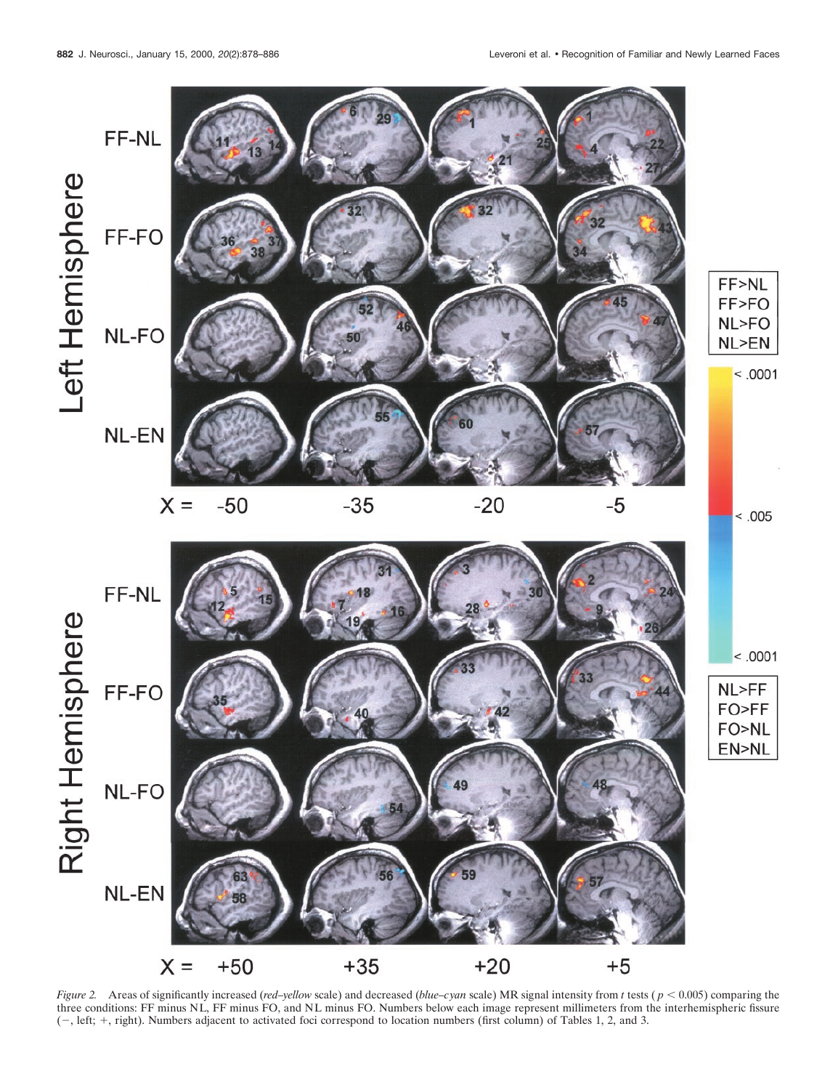

*Figure 2.* Areas of significantly increased (*red–yellow* scale) and decreased (*blue–cyan* scale) MR signal intensity from *t* tests ( $p < 0.005$ ) comparing the three conditions: FF minus NL, FF minus FO, and NL minus FO. Numbers below each image represent millimeters from the interhemispheric fissure (2, left; 1, right). Numbers adjacent to activated foci correspond to location numbers (first column) of Tables 1, 2, and 3.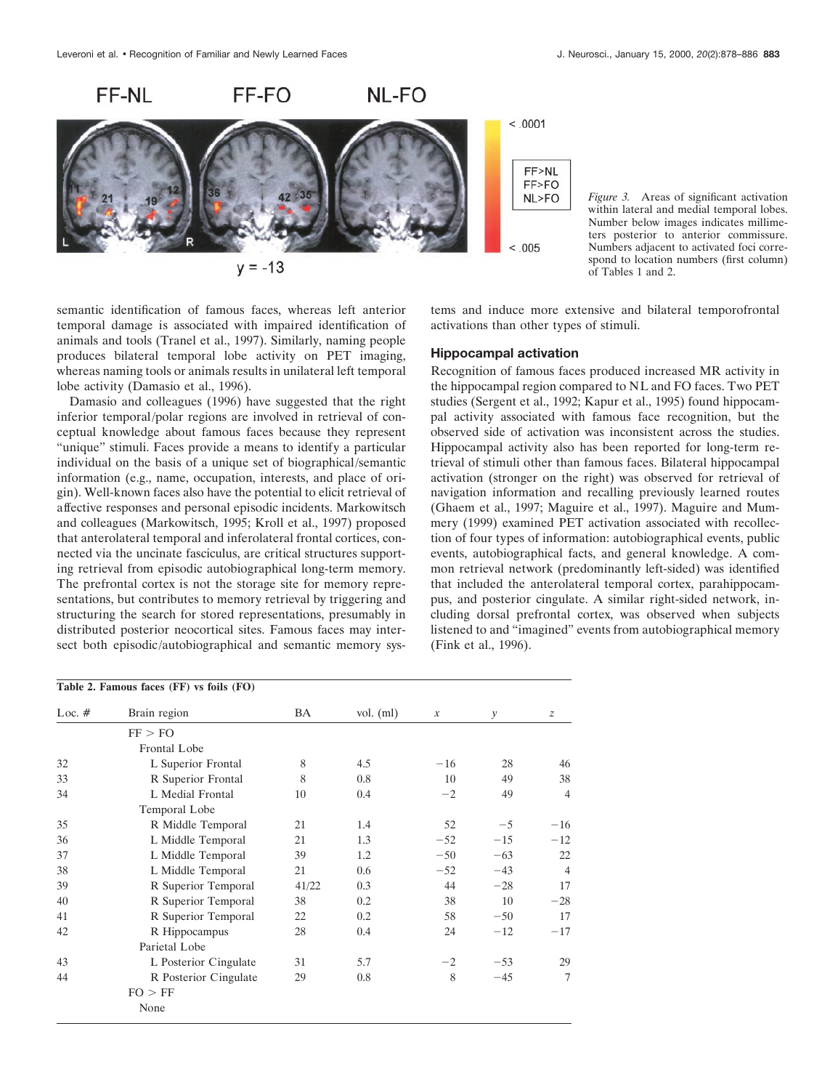



*Figure 3.* Areas of significant activation within lateral and medial temporal lobes. Number below images indicates millimeters posterior to anterior commissure. Numbers adjacent to activated foci correspond to location numbers (first column) of Tables 1 and 2.

semantic identification of famous faces, whereas left anterior temporal damage is associated with impaired identification of animals and tools (Tranel et al., 1997). Similarly, naming people produces bilateral temporal lobe activity on PET imaging, whereas naming tools or animals results in unilateral left temporal lobe activity (Damasio et al., 1996).

Damasio and colleagues (1996) have suggested that the right inferior temporal/polar regions are involved in retrieval of conceptual knowledge about famous faces because they represent "unique" stimuli. Faces provide a means to identify a particular individual on the basis of a unique set of biographical/semantic information (e.g., name, occupation, interests, and place of origin). Well-known faces also have the potential to elicit retrieval of affective responses and personal episodic incidents. Markowitsch and colleagues (Markowitsch, 1995; Kroll et al., 1997) proposed that anterolateral temporal and inferolateral frontal cortices, connected via the uncinate fasciculus, are critical structures supporting retrieval from episodic autobiographical long-term memory. The prefrontal cortex is not the storage site for memory representations, but contributes to memory retrieval by triggering and structuring the search for stored representations, presumably in distributed posterior neocortical sites. Famous faces may intersect both episodic/autobiographical and semantic memory sys-

## tems and induce more extensive and bilateral temporofrontal activations than other types of stimuli.

## **Hippocampal activation**

Recognition of famous faces produced increased MR activity in the hippocampal region compared to NL and FO faces. Two PET studies (Sergent et al., 1992; Kapur et al., 1995) found hippocampal activity associated with famous face recognition, but the observed side of activation was inconsistent across the studies. Hippocampal activity also has been reported for long-term retrieval of stimuli other than famous faces. Bilateral hippocampal activation (stronger on the right) was observed for retrieval of navigation information and recalling previously learned routes (Ghaem et al., 1997; Maguire et al., 1997). Maguire and Mummery (1999) examined PET activation associated with recollection of four types of information: autobiographical events, public events, autobiographical facts, and general knowledge. A common retrieval network (predominantly left-sided) was identified that included the anterolateral temporal cortex, parahippocampus, and posterior cingulate. A similar right-sided network, including dorsal prefrontal cortex, was observed when subjects listened to and "imagined" events from autobiographical memory (Fink et al., 1996).

| Loc. $#$ | Brain region          | BA    | vol. $(ml)$ | $\boldsymbol{x}$ | y     | $\boldsymbol{z}$ |
|----------|-----------------------|-------|-------------|------------------|-------|------------------|
|          | FF > FO               |       |             |                  |       |                  |
|          | Frontal Lobe          |       |             |                  |       |                  |
| 32       | L Superior Frontal    | 8     | 4.5         | $-16$            | 28    | 46               |
| 33       | R Superior Frontal    | 8     | 0.8         | 10               | 49    | 38               |
| 34       | L Medial Frontal      | 10    | 0.4         | $-2$             | 49    | $\overline{4}$   |
|          | Temporal Lobe         |       |             |                  |       |                  |
| 35       | R Middle Temporal     | 21    | 1.4         | 52               | $-5$  | $-16$            |
| 36       | L Middle Temporal     | 21    | 1.3         | $-52$            | $-15$ | $-12$            |
| 37       | L Middle Temporal     | 39    | 1.2         | $-50$            | $-63$ | 22               |
| 38       | L Middle Temporal     | 21    | 0.6         | $-52$            | $-43$ | $\overline{4}$   |
| 39       | R Superior Temporal   | 41/22 | 0.3         | 44               | $-28$ | 17               |
| 40       | R Superior Temporal   | 38    | 0.2         | 38               | 10    | $-28$            |
| 41       | R Superior Temporal   | 22    | 0.2         | 58               | $-50$ | 17               |
| 42       | R Hippocampus         | 28    | 0.4         | 24               | $-12$ | $-17$            |
|          | Parietal Lobe         |       |             |                  |       |                  |
| 43       | L Posterior Cingulate | 31    | 5.7         | $-2$             | $-53$ | 29               |
| 44       | R Posterior Cingulate | 29    | 0.8         | 8                | $-45$ | 7                |
|          | FO > FF               |       |             |                  |       |                  |
|          | None                  |       |             |                  |       |                  |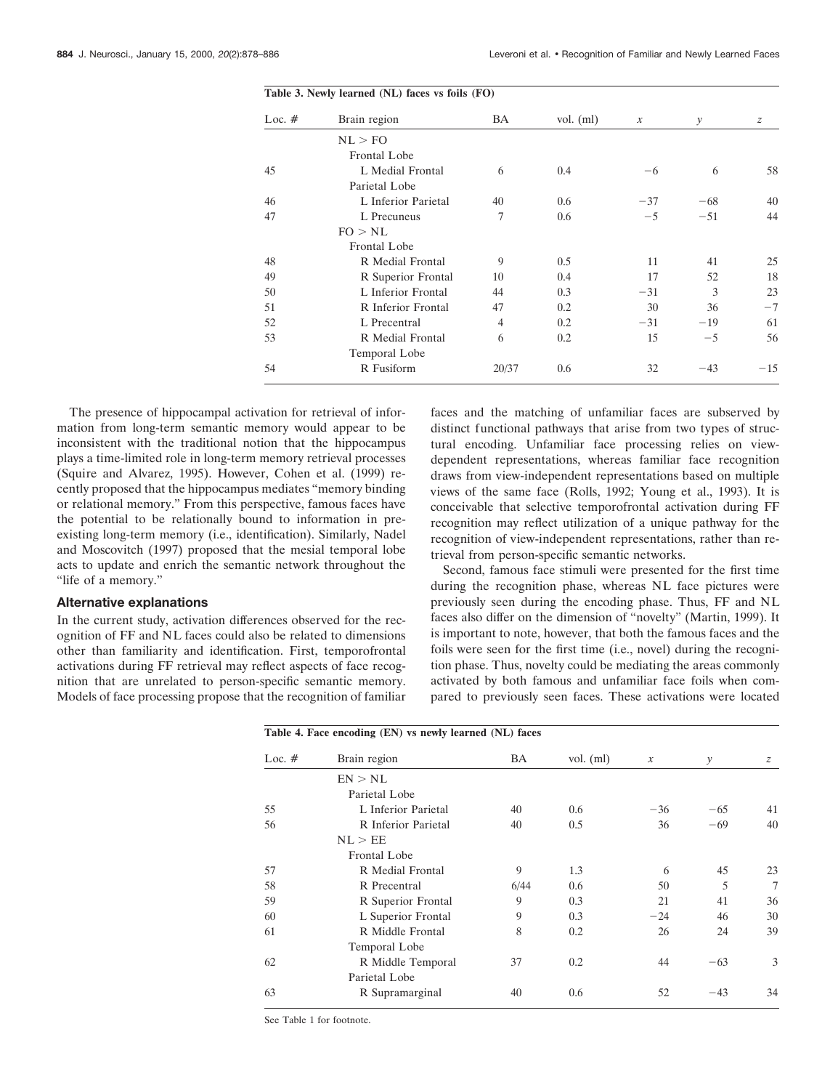| Loc. $#$ | Brain region        | BA    | vol. $(ml)$ | $\mathcal{X}$ | y     | $\boldsymbol{z}$ |
|----------|---------------------|-------|-------------|---------------|-------|------------------|
|          | NL > FO             |       |             |               |       |                  |
|          | Frontal Lobe        |       |             |               |       |                  |
| 45       | L Medial Frontal    | 6     | 0.4         | -6            | 6     | 58               |
|          | Parietal Lobe       |       |             |               |       |                  |
| 46       | L Inferior Parietal | 40    | 0.6         | $-37$         | $-68$ | 40               |
| 47       | L Precuneus         | 7     | 0.6         | $-5$          | $-51$ | 44               |
|          | FO > NL             |       |             |               |       |                  |
|          | Frontal Lobe        |       |             |               |       |                  |
| 48       | R Medial Frontal    | 9     | 0.5         | 11            | 41    | 25               |
| 49       | R Superior Frontal  | 10    | 0.4         | 17            | 52    | 18               |
| 50       | L Inferior Frontal  | 44    | 0.3         | $-31$         | 3     | 23               |
| 51       | R Inferior Frontal  | 47    | 0.2         | 30            | 36    | $-7$             |
| 52       | L Precentral        | 4     | 0.2         | $-31$         | $-19$ | 61               |
| 53       | R Medial Frontal    | 6     | 0.2         | 15            | $-5$  | 56               |
|          | Temporal Lobe       |       |             |               |       |                  |
| 54       | R Fusiform          | 20/37 | 0.6         | 32            | $-43$ | $-15$            |

The presence of hippocampal activation for retrieval of information from long-term semantic memory would appear to be inconsistent with the traditional notion that the hippocampus plays a time-limited role in long-term memory retrieval processes (Squire and Alvarez, 1995). However, Cohen et al. (1999) recently proposed that the hippocampus mediates "memory binding or relational memory." From this perspective, famous faces have the potential to be relationally bound to information in preexisting long-term memory (i.e., identification). Similarly, Nadel and Moscovitch (1997) proposed that the mesial temporal lobe acts to update and enrich the semantic network throughout the "life of a memory."

## **Alternative explanations**

In the current study, activation differences observed for the recognition of FF and NL faces could also be related to dimensions other than familiarity and identification. First, temporofrontal activations during FF retrieval may reflect aspects of face recognition that are unrelated to person-specific semantic memory. Models of face processing propose that the recognition of familiar faces and the matching of unfamiliar faces are subserved by distinct functional pathways that arise from two types of structural encoding. Unfamiliar face processing relies on viewdependent representations, whereas familiar face recognition draws from view-independent representations based on multiple views of the same face (Rolls, 1992; Young et al., 1993). It is conceivable that selective temporofrontal activation during FF recognition may reflect utilization of a unique pathway for the recognition of view-independent representations, rather than retrieval from person-specific semantic networks.

Second, famous face stimuli were presented for the first time during the recognition phase, whereas NL face pictures were previously seen during the encoding phase. Thus, FF and NL faces also differ on the dimension of "novelty" (Martin, 1999). It is important to note, however, that both the famous faces and the foils were seen for the first time (i.e., novel) during the recognition phase. Thus, novelty could be mediating the areas commonly activated by both famous and unfamiliar face foils when compared to previously seen faces. These activations were located

| Table 4. Face encoding (EN) vs newly learned (NL) faces |                     |      |             |                  |       |    |
|---------------------------------------------------------|---------------------|------|-------------|------------------|-------|----|
| Loc. $#$                                                | Brain region        | ΒA   | vol. $(ml)$ | $\boldsymbol{x}$ | y     | z  |
|                                                         | EN > NL             |      |             |                  |       |    |
|                                                         | Parietal Lobe       |      |             |                  |       |    |
| 55                                                      | L Inferior Parietal | 40   | 0.6         | $-36$            | $-65$ | 41 |
| 56                                                      | R Inferior Parietal | 40   | 0.5         | 36               | $-69$ | 40 |
|                                                         | NL > EE             |      |             |                  |       |    |
|                                                         | Frontal Lobe        |      |             |                  |       |    |
| 57                                                      | R Medial Frontal    | 9    | 1.3         | 6                | 45    | 23 |
| 58                                                      | R Precentral        | 6/44 | 0.6         | 50               | 5     | 7  |
| 59                                                      | R Superior Frontal  | 9    | 0.3         | 21               | 41    | 36 |
| 60                                                      | L Superior Frontal  | 9    | 0.3         | $-24$            | 46    | 30 |
| 61                                                      | R Middle Frontal    | 8    | 0.2         | 26               | 24    | 39 |
|                                                         | Temporal Lobe       |      |             |                  |       |    |
| 62                                                      | R Middle Temporal   | 37   | 0.2         | 44               | $-63$ | 3  |
|                                                         | Parietal Lobe       |      |             |                  |       |    |
| 63                                                      | R Supramarginal     | 40   | 0.6         | 52               | $-43$ | 34 |
|                                                         |                     |      |             |                  |       |    |

See Table 1 for footnote.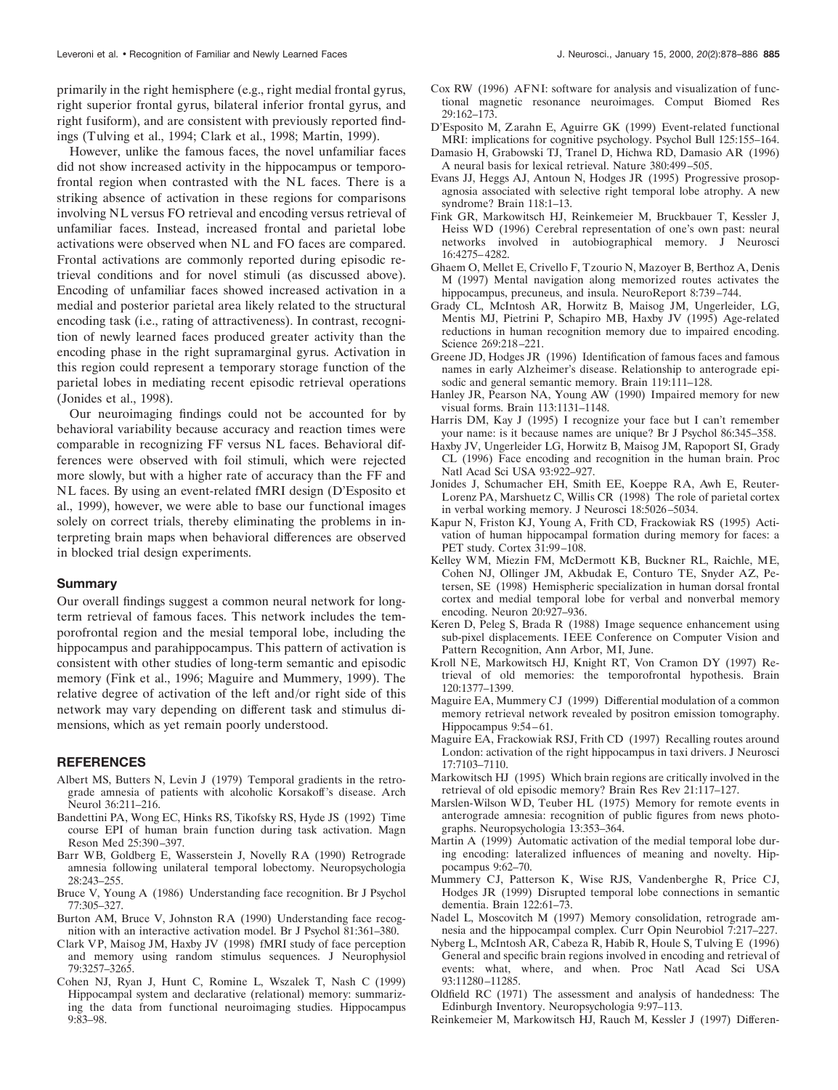primarily in the right hemisphere (e.g., right medial frontal gyrus, right superior frontal gyrus, bilateral inferior frontal gyrus, and right fusiform), and are consistent with previously reported findings (Tulving et al., 1994; Clark et al., 1998; Martin, 1999).

However, unlike the famous faces, the novel unfamiliar faces did not show increased activity in the hippocampus or temporofrontal region when contrasted with the NL faces. There is a striking absence of activation in these regions for comparisons involving NL versus FO retrieval and encoding versus retrieval of unfamiliar faces. Instead, increased frontal and parietal lobe activations were observed when NL and FO faces are compared. Frontal activations are commonly reported during episodic retrieval conditions and for novel stimuli (as discussed above). Encoding of unfamiliar faces showed increased activation in a medial and posterior parietal area likely related to the structural encoding task (i.e., rating of attractiveness). In contrast, recognition of newly learned faces produced greater activity than the encoding phase in the right supramarginal gyrus. Activation in this region could represent a temporary storage function of the parietal lobes in mediating recent episodic retrieval operations (Jonides et al., 1998).

Our neuroimaging findings could not be accounted for by behavioral variability because accuracy and reaction times were comparable in recognizing FF versus NL faces. Behavioral differences were observed with foil stimuli, which were rejected more slowly, but with a higher rate of accuracy than the FF and NL faces. By using an event-related fMRI design (D'Esposito et al., 1999), however, we were able to base our functional images solely on correct trials, thereby eliminating the problems in interpreting brain maps when behavioral differences are observed in blocked trial design experiments.

#### **Summary**

Our overall findings suggest a common neural network for longterm retrieval of famous faces. This network includes the temporofrontal region and the mesial temporal lobe, including the hippocampus and parahippocampus. This pattern of activation is consistent with other studies of long-term semantic and episodic memory (Fink et al., 1996; Maguire and Mummery, 1999). The relative degree of activation of the left and/or right side of this network may vary depending on different task and stimulus dimensions, which as yet remain poorly understood.

#### **REFERENCES**

- Albert MS, Butters N, Levin J (1979) Temporal gradients in the retrograde amnesia of patients with alcoholic Korsakoff's disease. Arch Neurol 36:211–216.
- Bandettini PA, Wong EC, Hinks RS, Tikofsky RS, Hyde JS (1992) Time course EPI of human brain function during task activation. Magn Reson Med 25:390–397.
- Barr WB, Goldberg E, Wasserstein J, Novelly RA (1990) Retrograde amnesia following unilateral temporal lobectomy. Neuropsychologia 28:243–255.
- Bruce V, Young A (1986) Understanding face recognition. Br J Psychol 77:305–327.
- Burton AM, Bruce V, Johnston RA (1990) Understanding face recognition with an interactive activation model. Br J Psychol 81:361–380.
- Clark VP, Maisog JM, Haxby JV (1998) fMRI study of face perception and memory using random stimulus sequences. J Neurophysiol 79:3257–3265.
- Cohen NJ, Ryan J, Hunt C, Romine L, Wszalek T, Nash C (1999) Hippocampal system and declarative (relational) memory: summarizing the data from functional neuroimaging studies. Hippocampus 9:83–98.
- Cox RW (1996) AFNI: software for analysis and visualization of functional magnetic resonance neuroimages. Comput Biomed Res 29:162–173.
- D'Esposito M, Zarahn E, Aguirre GK (1999) Event-related functional MRI: implications for cognitive psychology. Psychol Bull 125:155–164.
- Damasio H, Grabowski TJ, Tranel D, Hichwa RD, Damasio AR (1996) A neural basis for lexical retrieval. Nature 380:499–505.
- Evans JJ, Heggs AJ, Antoun N, Hodges JR (1995) Progressive prosopagnosia associated with selective right temporal lobe atrophy. A new syndrome? Brain 118:1–13.
- Fink GR, Markowitsch HJ, Reinkemeier M, Bruckbauer T, Kessler J, Heiss WD (1996) Cerebral representation of one's own past: neural networks involved in autobiographical memory. J Neurosci 16:4275–4282.
- Ghaem O, Mellet E, Crivello F, Tzourio N, Mazoyer B, Berthoz A, Denis M (1997) Mental navigation along memorized routes activates the hippocampus, precuneus, and insula. NeuroReport 8:739–744.
- Grady CL, McIntosh AR, Horwitz B, Maisog JM, Ungerleider, LG, Mentis MJ, Pietrini P, Schapiro MB, Haxby JV (1995) Age-related reductions in human recognition memory due to impaired encoding. Science 269:218–221.
- Greene JD, Hodges JR (1996) Identification of famous faces and famous names in early Alzheimer's disease. Relationship to anterograde episodic and general semantic memory. Brain 119:111–128.
- Hanley JR, Pearson NA, Young AW (1990) Impaired memory for new visual forms. Brain 113:1131–1148.
- Harris DM, Kay J (1995) I recognize your face but I can't remember your name: is it because names are unique? Br J Psychol 86:345–358.
- Haxby JV, Ungerleider LG, Horwitz B, Maisog JM, Rapoport SI, Grady CL (1996) Face encoding and recognition in the human brain. Proc Natl Acad Sci USA 93:922–927.
- Jonides J, Schumacher EH, Smith EE, Koeppe RA, Awh E, Reuter-Lorenz PA, Marshuetz C, Willis CR (1998) The role of parietal cortex in verbal working memory. J Neurosci 18:5026–5034.
- Kapur N, Friston KJ, Young A, Frith CD, Frackowiak RS (1995) Activation of human hippocampal formation during memory for faces: a PET study. Cortex 31:99–108.
- Kelley WM, Miezin FM, McDermott KB, Buckner RL, Raichle, ME, Cohen NJ, Ollinger JM, Akbudak E, Conturo TE, Snyder AZ, Petersen, SE (1998) Hemispheric specialization in human dorsal frontal cortex and medial temporal lobe for verbal and nonverbal memory encoding. Neuron 20:927–936.
- Keren D, Peleg S, Brada R (1988) Image sequence enhancement using sub-pixel displacements. IEEE Conference on Computer Vision and Pattern Recognition, Ann Arbor, MI, June.
- Kroll NE, Markowitsch HJ, Knight RT, Von Cramon DY (1997) Retrieval of old memories: the temporofrontal hypothesis. Brain 120:1377–1399.
- Maguire EA, Mummery CJ (1999) Differential modulation of a common memory retrieval network revealed by positron emission tomography. Hippocampus 9:54–61.
- Maguire EA, Frackowiak RSJ, Frith CD (1997) Recalling routes around London: activation of the right hippocampus in taxi drivers. J Neurosci 17:7103–7110.
- Markowitsch HJ (1995) Which brain regions are critically involved in the retrieval of old episodic memory? Brain Res Rev 21:117–127.
- Marslen-Wilson WD, Teuber HL (1975) Memory for remote events in anterograde amnesia: recognition of public figures from news photographs. Neuropsychologia 13:353–364.
- Martin A (1999) Automatic activation of the medial temporal lobe during encoding: lateralized influences of meaning and novelty. Hippocampus 9:62–70.
- Mummery CJ, Patterson K, Wise RJS, Vandenberghe R, Price CJ, Hodges JR (1999) Disrupted temporal lobe connections in semantic dementia. Brain 122:61–73.
- Nadel L, Moscovitch M (1997) Memory consolidation, retrograde amnesia and the hippocampal complex. Curr Opin Neurobiol 7:217–227.
- Nyberg L, McIntosh AR, Cabeza R, Habib R, Houle S, Tulving E (1996) General and specific brain regions involved in encoding and retrieval of events: what, where, and when. Proc Natl Acad Sci USA 93:11280–11285.
- Oldfield RC (1971) The assessment and analysis of handedness: The Edinburgh Inventory. Neuropsychologia 9:97–113.
- Reinkemeier M, Markowitsch HJ, Rauch M, Kessler J (1997) Differen-